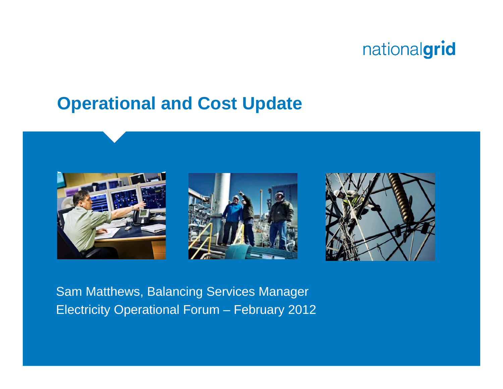#### **Operational and Cost Update**



Sam Matthews, Balancing Services Manager Electricity Operational Forum – February 2012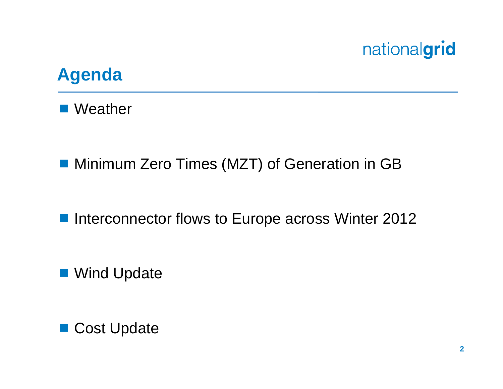

#### **Agenda**

■ Weather

■ Minimum Zero Times (MZT) of Generation in GB

■ Interconnector flows to Europe across Winter 2012

■ Wind Update

■ Cost Update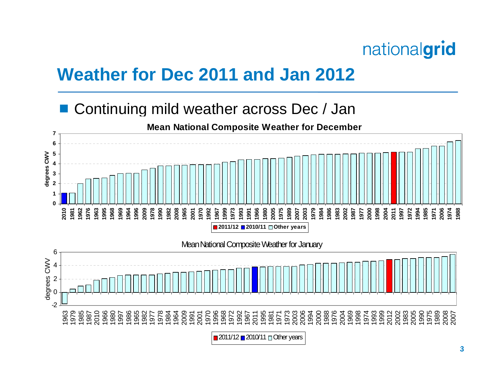

## **Weather for Dec 2011 and Jan 2012**

#### Continuing mild weather across Dec / Jan



**Mean N ational C ompo site Weat h er f or Decemb er**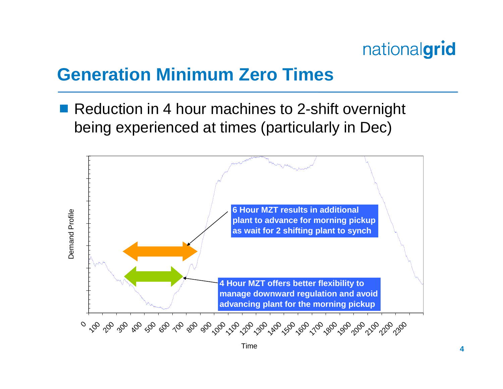

## **Generation Minimum Zero Times**

 Reduction in 4 hour machines to 2-shift overnight being experienced at times (particularly in Dec)

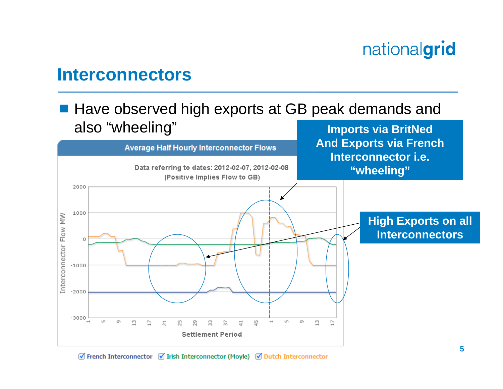#### **Interconnectors**

#### ■ Have observed high exports at GB peak demands and also "wheeling" **Imports via BritNed**



 $\forall$  French Interconnector  $\forall$  Irish Interconnector (Moyle)  $\forall$  Dutch Interconnector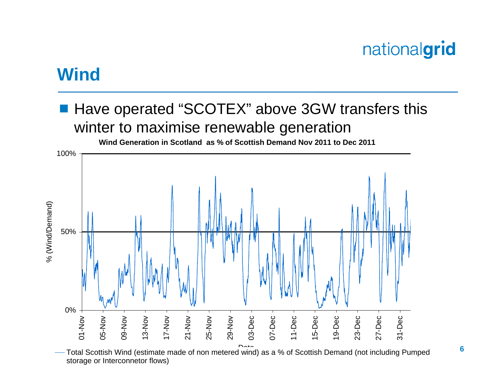#### **Wind**

#### Have operated "SCOTEX" above 3GW transfers this winter to maximise renewable generation



 Total Scottish Wind (estimate made of non metered wind) as a % of Scottish Demand (not including Pumped storage or Interconnetor flows)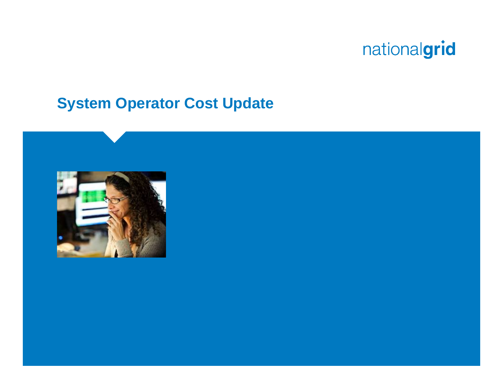#### **System Operator Cost Update**

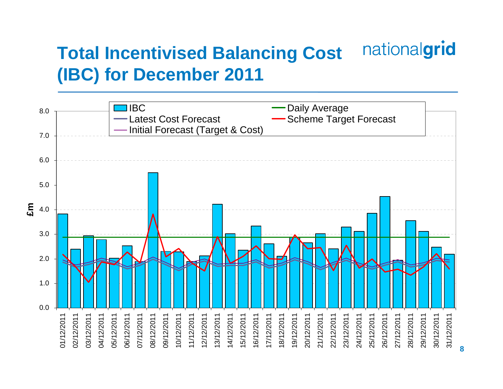#### nationalgrid **Total Incentivised Balancing Cost (IBC) for December 2011**

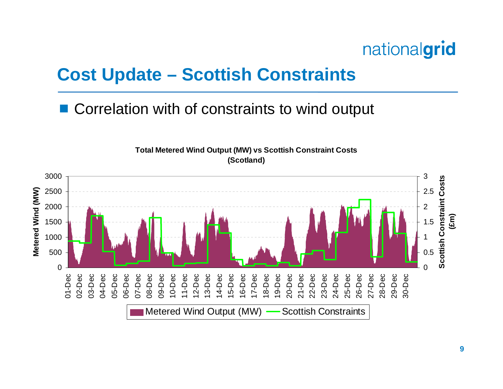

#### **Cost Update – Scottish Constraints**

#### Correlation with of constraints to wind output



**Total Metered Wind Output (MW) vs Scottish Constraint Costs (Scotland)**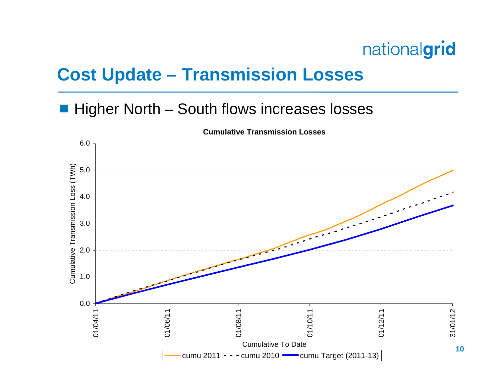## **Cost Update – Transmission Losses**

#### ■ Higher North – South flows increases losses

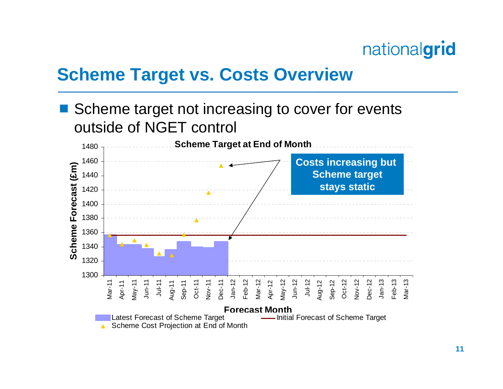

#### **Scheme Target vs. Costs Overview**

 Scheme target not increasing to cover for events outside of NGET control

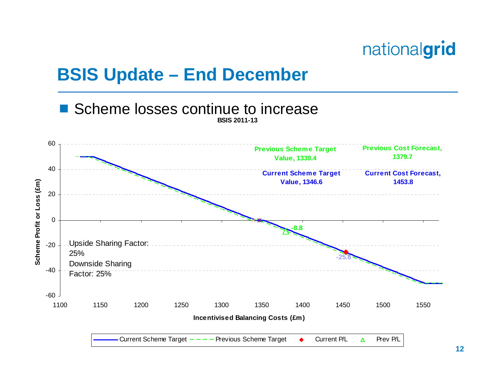

## **BSIS Update – End December**

#### **BSIS 2011-13**■ Scheme losses continue to increase

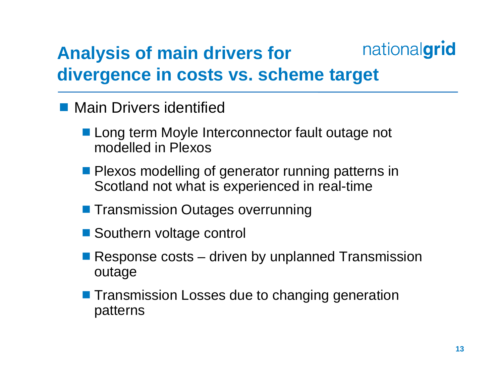#### nationalgrid **Analysis of main drivers for divergence in costs vs. scheme target**

- **Main Drivers identified** 
	- **Long term Moyle Interconnector fault outage not** modelled in Plexos
	- **Plexos modelling of generator running patterns in** Scotland not what is experienced in real-time
	- **Transmission Outages overrunning**
	- Southern voltage control
	- Response costs driven by unplanned Transmission outage
	- **The Transmission Losses due to changing generation** patterns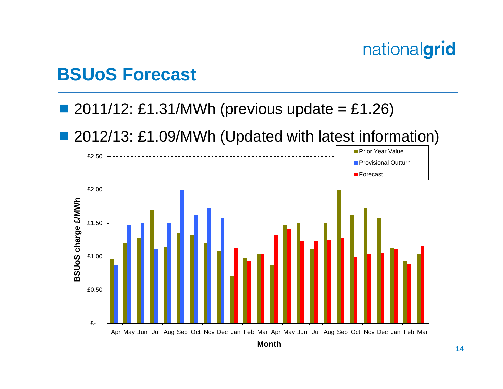#### **BSUoS Forecast**

#### ■ 2011/12: £1.31/MWh (previous update = £1.26)

#### ■ 2012/13: £1.09/MWh (Updated with latest information)

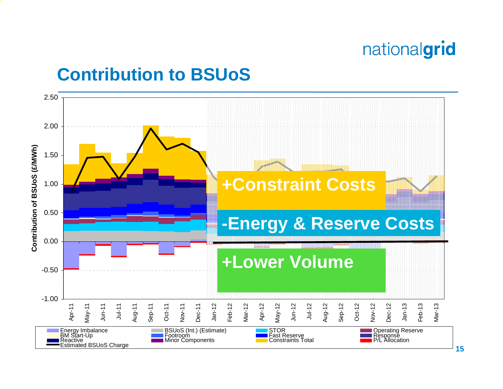## **Contribution to BSUoS**